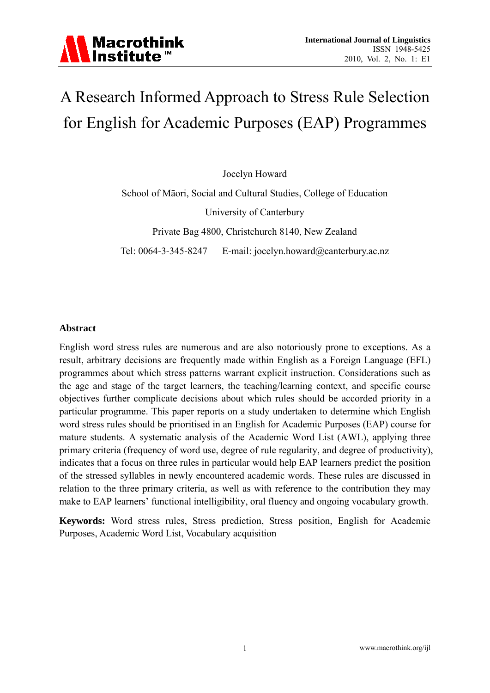

# A Research Informed Approach to Stress Rule Selection for English for Academic Purposes (EAP) Programmes

Jocelyn Howard

School of Māori, Social and Cultural Studies, College of Education University of Canterbury Private Bag 4800, Christchurch 8140, New Zealand

Tel: 0064-3-345-8247 E-mail: jocelyn.howard@canterbury.ac.nz

#### **Abstract**

English word stress rules are numerous and are also notoriously prone to exceptions. As a result, arbitrary decisions are frequently made within English as a Foreign Language (EFL) programmes about which stress patterns warrant explicit instruction. Considerations such as the age and stage of the target learners, the teaching/learning context, and specific course objectives further complicate decisions about which rules should be accorded priority in a particular programme. This paper reports on a study undertaken to determine which English word stress rules should be prioritised in an English for Academic Purposes (EAP) course for mature students. A systematic analysis of the Academic Word List (AWL), applying three primary criteria (frequency of word use, degree of rule regularity, and degree of productivity), indicates that a focus on three rules in particular would help EAP learners predict the position of the stressed syllables in newly encountered academic words. These rules are discussed in relation to the three primary criteria, as well as with reference to the contribution they may make to EAP learners' functional intelligibility, oral fluency and ongoing vocabulary growth.

**Keywords:** Word stress rules, Stress prediction, Stress position, English for Academic Purposes, Academic Word List, Vocabulary acquisition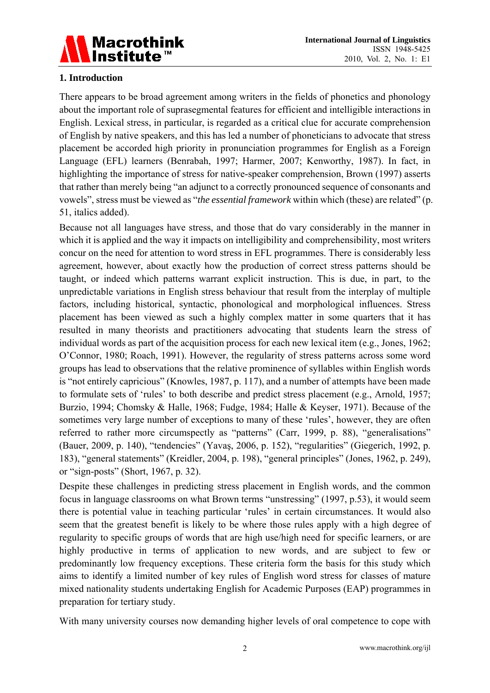

# **1. Introduction**

There appears to be broad agreement among writers in the fields of phonetics and phonology about the important role of suprasegmental features for efficient and intelligible interactions in English. Lexical stress, in particular, is regarded as a critical clue for accurate comprehension of English by native speakers, and this has led a number of phoneticians to advocate that stress placement be accorded high priority in pronunciation programmes for English as a Foreign Language (EFL) learners (Benrabah, 1997; Harmer, 2007; Kenworthy, 1987). In fact, in highlighting the importance of stress for native-speaker comprehension, Brown (1997) asserts that rather than merely being "an adjunct to a correctly pronounced sequence of consonants and vowels", stress must be viewed as "*the essential framework* within which (these) are related" (p. 51, italics added).

Because not all languages have stress, and those that do vary considerably in the manner in which it is applied and the way it impacts on intelligibility and comprehensibility, most writers concur on the need for attention to word stress in EFL programmes. There is considerably less agreement, however, about exactly how the production of correct stress patterns should be taught, or indeed which patterns warrant explicit instruction. This is due, in part, to the unpredictable variations in English stress behaviour that result from the interplay of multiple factors, including historical, syntactic, phonological and morphological influences. Stress placement has been viewed as such a highly complex matter in some quarters that it has resulted in many theorists and practitioners advocating that students learn the stress of individual words as part of the acquisition process for each new lexical item (e.g., Jones, 1962; O'Connor, 1980; Roach, 1991). However, the regularity of stress patterns across some word groups has lead to observations that the relative prominence of syllables within English words is "not entirely capricious" (Knowles, 1987, p. 117), and a number of attempts have been made to formulate sets of 'rules' to both describe and predict stress placement (e.g., Arnold, 1957; Burzio, 1994; Chomsky & Halle, 1968; Fudge, 1984; Halle & Keyser, 1971). Because of the sometimes very large number of exceptions to many of these 'rules', however, they are often referred to rather more circumspectly as "patterns" (Carr, 1999, p. 88), "generalisations" (Bauer, 2009, p. 140), "tendencies" (Yavaş, 2006, p. 152), "regularities" (Giegerich, 1992, p. 183), "general statements" (Kreidler, 2004, p. 198), "general principles" (Jones, 1962, p. 249), or "sign-posts" (Short, 1967, p. 32).

Despite these challenges in predicting stress placement in English words, and the common focus in language classrooms on what Brown terms "unstressing" (1997, p.53), it would seem there is potential value in teaching particular 'rules' in certain circumstances. It would also seem that the greatest benefit is likely to be where those rules apply with a high degree of regularity to specific groups of words that are high use/high need for specific learners, or are highly productive in terms of application to new words, and are subject to few or predominantly low frequency exceptions. These criteria form the basis for this study which aims to identify a limited number of key rules of English word stress for classes of mature mixed nationality students undertaking English for Academic Purposes (EAP) programmes in preparation for tertiary study.

With many university courses now demanding higher levels of oral competence to cope with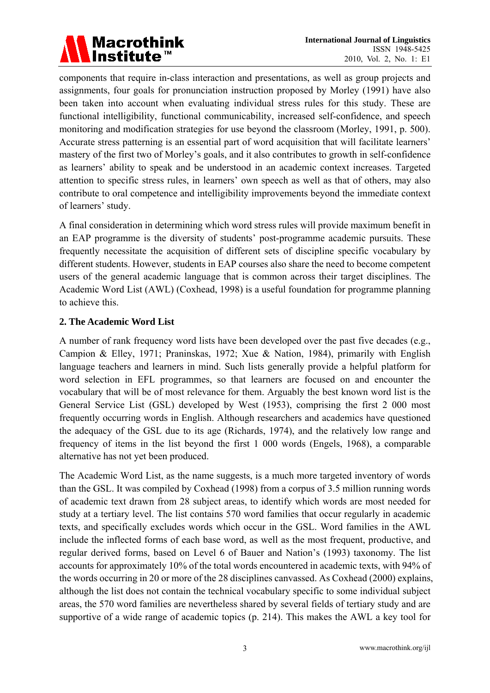

components that require in-class interaction and presentations, as well as group projects and assignments, four goals for pronunciation instruction proposed by Morley (1991) have also been taken into account when evaluating individual stress rules for this study. These are functional intelligibility, functional communicability, increased self-confidence, and speech monitoring and modification strategies for use beyond the classroom (Morley, 1991, p. 500). Accurate stress patterning is an essential part of word acquisition that will facilitate learners' mastery of the first two of Morley's goals, and it also contributes to growth in self-confidence as learners' ability to speak and be understood in an academic context increases. Targeted attention to specific stress rules, in learners' own speech as well as that of others, may also contribute to oral competence and intelligibility improvements beyond the immediate context of learners' study.

A final consideration in determining which word stress rules will provide maximum benefit in an EAP programme is the diversity of students' post-programme academic pursuits. These frequently necessitate the acquisition of different sets of discipline specific vocabulary by different students. However, students in EAP courses also share the need to become competent users of the general academic language that is common across their target disciplines. The Academic Word List (AWL) (Coxhead, 1998) is a useful foundation for programme planning to achieve this.

## **2. The Academic Word List**

A number of rank frequency word lists have been developed over the past five decades (e.g., Campion & Elley, 1971; Praninskas, 1972; Xue & Nation, 1984), primarily with English language teachers and learners in mind. Such lists generally provide a helpful platform for word selection in EFL programmes, so that learners are focused on and encounter the vocabulary that will be of most relevance for them. Arguably the best known word list is the General Service List (GSL) developed by West (1953), comprising the first 2 000 most frequently occurring words in English. Although researchers and academics have questioned the adequacy of the GSL due to its age (Richards, 1974), and the relatively low range and frequency of items in the list beyond the first 1 000 words (Engels, 1968), a comparable alternative has not yet been produced.

The Academic Word List, as the name suggests, is a much more targeted inventory of words than the GSL. It was compiled by Coxhead (1998) from a corpus of 3.5 million running words of academic text drawn from 28 subject areas, to identify which words are most needed for study at a tertiary level. The list contains 570 word families that occur regularly in academic texts, and specifically excludes words which occur in the GSL. Word families in the AWL include the inflected forms of each base word, as well as the most frequent, productive, and regular derived forms, based on Level 6 of Bauer and Nation's (1993) taxonomy. The list accounts for approximately 10% of the total words encountered in academic texts, with 94% of the words occurring in 20 or more of the 28 disciplines canvassed. As Coxhead (2000) explains, although the list does not contain the technical vocabulary specific to some individual subject areas, the 570 word families are nevertheless shared by several fields of tertiary study and are supportive of a wide range of academic topics (p. 214). This makes the AWL a key tool for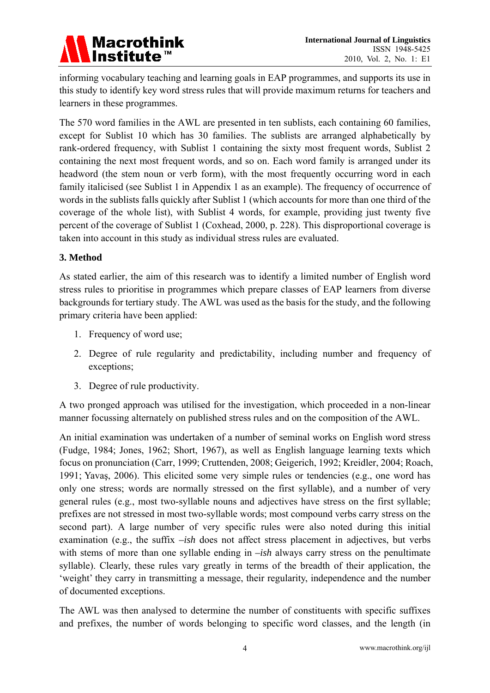

informing vocabulary teaching and learning goals in EAP programmes, and supports its use in this study to identify key word stress rules that will provide maximum returns for teachers and learners in these programmes.

The 570 word families in the AWL are presented in ten sublists, each containing 60 families, except for Sublist 10 which has 30 families. The sublists are arranged alphabetically by rank-ordered frequency, with Sublist 1 containing the sixty most frequent words, Sublist 2 containing the next most frequent words, and so on. Each word family is arranged under its headword (the stem noun or verb form), with the most frequently occurring word in each family italicised (see Sublist 1 in Appendix 1 as an example). The frequency of occurrence of words in the sublists falls quickly after Sublist 1 (which accounts for more than one third of the coverage of the whole list), with Sublist 4 words, for example, providing just twenty five percent of the coverage of Sublist 1 (Coxhead, 2000, p. 228). This disproportional coverage is taken into account in this study as individual stress rules are evaluated.

## **3. Method**

As stated earlier, the aim of this research was to identify a limited number of English word stress rules to prioritise in programmes which prepare classes of EAP learners from diverse backgrounds for tertiary study. The AWL was used as the basis for the study, and the following primary criteria have been applied:

- 1. Frequency of word use;
- 2. Degree of rule regularity and predictability, including number and frequency of exceptions;
- 3. Degree of rule productivity.

A two pronged approach was utilised for the investigation, which proceeded in a non-linear manner focussing alternately on published stress rules and on the composition of the AWL.

An initial examination was undertaken of a number of seminal works on English word stress (Fudge, 1984; Jones, 1962; Short, 1967), as well as English language learning texts which focus on pronunciation (Carr, 1999; Cruttenden, 2008; Geigerich, 1992; Kreidler, 2004; Roach, 1991; Yavaş, 2006). This elicited some very simple rules or tendencies (e.g., one word has only one stress; words are normally stressed on the first syllable), and a number of very general rules (e.g., most two-syllable nouns and adjectives have stress on the first syllable; prefixes are not stressed in most two-syllable words; most compound verbs carry stress on the second part). A large number of very specific rules were also noted during this initial examination (e.g., the suffix *–ish* does not affect stress placement in adjectives, but verbs with stems of more than one syllable ending in *–ish* always carry stress on the penultimate syllable). Clearly, these rules vary greatly in terms of the breadth of their application, the 'weight' they carry in transmitting a message, their regularity, independence and the number of documented exceptions.

The AWL was then analysed to determine the number of constituents with specific suffixes and prefixes, the number of words belonging to specific word classes, and the length (in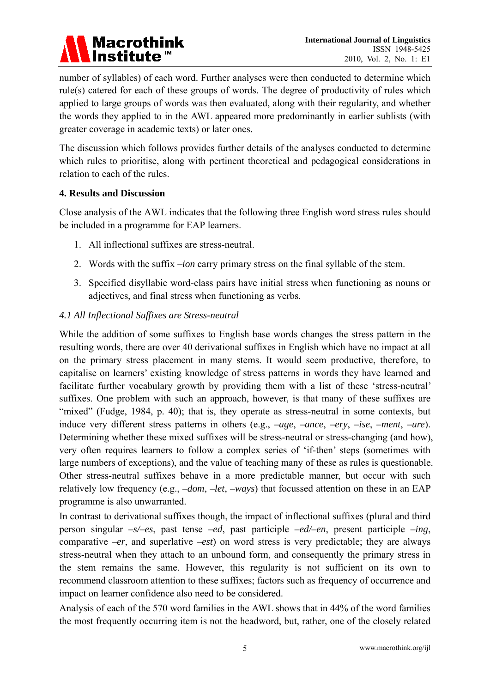

number of syllables) of each word. Further analyses were then conducted to determine which rule(s) catered for each of these groups of words. The degree of productivity of rules which applied to large groups of words was then evaluated, along with their regularity, and whether the words they applied to in the AWL appeared more predominantly in earlier sublists (with greater coverage in academic texts) or later ones.

The discussion which follows provides further details of the analyses conducted to determine which rules to prioritise, along with pertinent theoretical and pedagogical considerations in relation to each of the rules.

## **4. Results and Discussion**

Close analysis of the AWL indicates that the following three English word stress rules should be included in a programme for EAP learners.

- 1. All inflectional suffixes are stress-neutral.
- 2. Words with the suffix *–ion* carry primary stress on the final syllable of the stem.
- 3. Specified disyllabic word-class pairs have initial stress when functioning as nouns or adjectives, and final stress when functioning as verbs.

## *4.1 All Inflectional Suffixes are Stress-neutral*

While the addition of some suffixes to English base words changes the stress pattern in the resulting words, there are over 40 derivational suffixes in English which have no impact at all on the primary stress placement in many stems. It would seem productive, therefore, to capitalise on learners' existing knowledge of stress patterns in words they have learned and facilitate further vocabulary growth by providing them with a list of these 'stress-neutral' suffixes. One problem with such an approach, however, is that many of these suffixes are "mixed" (Fudge, 1984, p. 40); that is, they operate as stress-neutral in some contexts, but induce very different stress patterns in others (e.g., *–age*, *–ance*, *–ery*, *–ise*, *–ment*, *–ure*). Determining whether these mixed suffixes will be stress-neutral or stress-changing (and how), very often requires learners to follow a complex series of 'if-then' steps (sometimes with large numbers of exceptions), and the value of teaching many of these as rules is questionable. Other stress-neutral suffixes behave in a more predictable manner, but occur with such relatively low frequency (e.g., *–dom*, *–let*, *–ways*) that focussed attention on these in an EAP programme is also unwarranted.

In contrast to derivational suffixes though, the impact of inflectional suffixes (plural and third person singular *–s/–es*, past tense *–ed*, past participle *–ed/–en*, present participle *–ing*, comparative *–er*, and superlative *–est*) on word stress is very predictable; they are always stress-neutral when they attach to an unbound form, and consequently the primary stress in the stem remains the same. However, this regularity is not sufficient on its own to recommend classroom attention to these suffixes; factors such as frequency of occurrence and impact on learner confidence also need to be considered.

Analysis of each of the 570 word families in the AWL shows that in 44% of the word families the most frequently occurring item is not the headword, but, rather, one of the closely related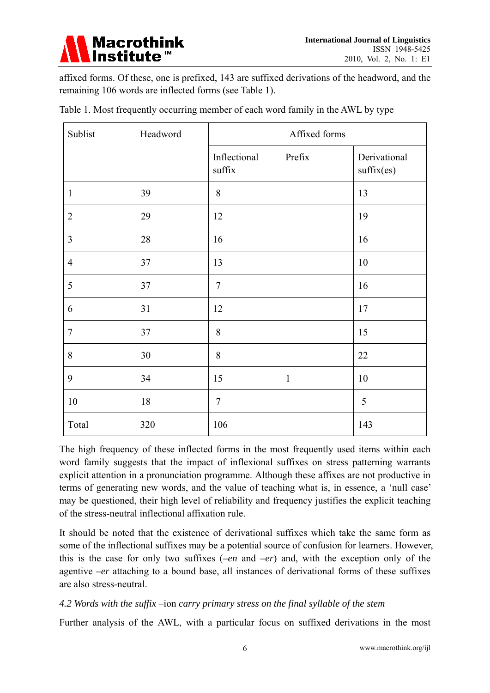

affixed forms. Of these, one is prefixed, 143 are suffixed derivations of the headword, and the remaining 106 words are inflected forms (see Table 1).

| Sublist        | Headword | Affixed forms          |              |                            |  |
|----------------|----------|------------------------|--------------|----------------------------|--|
|                |          | Inflectional<br>suffix | Prefix       | Derivational<br>suffix(es) |  |
| $\mathbf{1}$   | 39       | 8                      |              | 13                         |  |
| $\overline{2}$ | 29       | 12                     |              | 19                         |  |
| $\overline{3}$ | 28       | 16                     |              | 16                         |  |
| $\overline{4}$ | 37       | 13                     |              | $10\,$                     |  |
| $\mathfrak{S}$ | 37       | $\overline{7}$         |              | 16                         |  |
| 6              | 31       | 12                     |              | 17                         |  |
| $\tau$         | 37       | 8                      |              | 15                         |  |
| $8\,$          | 30       | 8                      |              | 22                         |  |
| 9              | 34       | 15                     | $\mathbf{1}$ | 10                         |  |
| 10             | 18       | $\overline{7}$         |              | 5                          |  |
| Total          | 320      | 106                    |              | 143                        |  |

Table 1. Most frequently occurring member of each word family in the AWL by type

The high frequency of these inflected forms in the most frequently used items within each word family suggests that the impact of inflexional suffixes on stress patterning warrants explicit attention in a pronunciation programme. Although these affixes are not productive in terms of generating new words, and the value of teaching what is, in essence, a 'null case' may be questioned, their high level of reliability and frequency justifies the explicit teaching of the stress-neutral inflectional affixation rule.

It should be noted that the existence of derivational suffixes which take the same form as some of the inflectional suffixes may be a potential source of confusion for learners. However, this is the case for only two suffixes (*–en* and *–er*) and, with the exception only of the agentive *–er* attaching to a bound base, all instances of derivational forms of these suffixes are also stress-neutral.

## *4.2 Words with the suffix* –ion *carry primary stress on the final syllable of the stem*

Further analysis of the AWL, with a particular focus on suffixed derivations in the most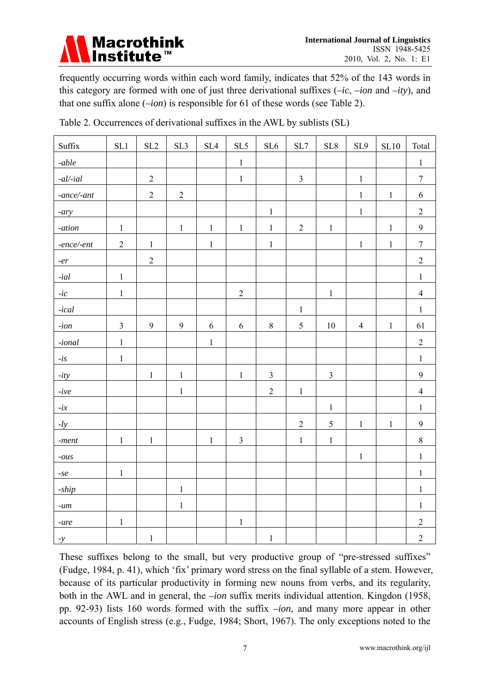

frequently occurring words within each word family, indicates that 52% of the 143 words in this category are formed with one of just three derivational suffixes (*–ic*, *–ion* and *–ity*), and that one suffix alone (*–ion*) is responsible for 61 of these words (see Table 2).

| Suffix                      | SL1            | SL2            | SL3            | SL4         | SL <sub>5</sub> | SL6            | SL7            | SL8            | SL9            | SL10         | Total            |
|-----------------------------|----------------|----------------|----------------|-------------|-----------------|----------------|----------------|----------------|----------------|--------------|------------------|
| -able                       |                |                |                |             | $1\,$           |                |                |                |                |              | $\,1\,$          |
| $\textit{-}al\textit{-}ial$ |                | $\overline{2}$ |                |             | $\mathbf 1$     |                | $\overline{3}$ |                | $\,1$          |              | $\overline{7}$   |
| $-ance/ - ant$              |                | $\overline{2}$ | $\overline{2}$ |             |                 |                |                |                | $\mathbf{1}$   | $\mathbf 1$  | 6                |
| $-ary$                      |                |                |                |             |                 | $\mathbf{1}$   |                |                | $\mathbf 1$    |              | $\overline{2}$   |
| $-ation$                    | $\mathbf 1$    |                | $\,1\,$        | $\mathbf 1$ | $\,1\,$         | $\mathbf 1$    | $\overline{2}$ | $\mathbf 1$    |                | $\,1$        | $\mathbf{9}$     |
| $-ence/-ent$                | $\overline{2}$ | $\mathbf 1$    |                | $\mathbf 1$ |                 | $\mathbf 1$    |                |                | $\,1$          | $\mathbf{1}$ | $\boldsymbol{7}$ |
| $-er$                       |                | $\overline{2}$ |                |             |                 |                |                |                |                |              | $\overline{2}$   |
| - $ial$                     | $\mathbf 1$    |                |                |             |                 |                |                |                |                |              | $1\,$            |
| - $ic$                      | $\mathbf 1$    |                |                |             | $\sqrt{2}$      |                |                | $\,1\,$        |                |              | $\overline{4}$   |
| $-ical$                     |                |                |                |             |                 |                | $\,1$          |                |                |              | $\mathbf{1}$     |
| - $ion$                     | $\overline{3}$ | 9              | 9              | 6           | $\sqrt{6}$      | $8\,$          | 5              | $10\,$         | $\overline{4}$ | $\mathbf{1}$ | 61               |
| $\textit{-ional}$           | $\mathbf 1$    |                |                | $\mathbf 1$ |                 |                |                |                |                |              | $\sqrt{2}$       |
| $- is$                      | $\mathbf{1}$   |                |                |             |                 |                |                |                |                |              | $\mathbf{1}$     |
| $-ity$                      |                | $\mathbf 1$    | $\,1$          |             | $\,1\,$         | $\mathfrak{Z}$ |                | $\overline{3}$ |                |              | 9                |
| - $ive$                     |                |                | $\mathbf{1}$   |             |                 | $\overline{2}$ | $\mathbf 1$    |                |                |              | $\overline{4}$   |
| $-ix$                       |                |                |                |             |                 |                |                | $\mathbf 1$    |                |              | $\mathbf{1}$     |
| $-ly$                       |                |                |                |             |                 |                | $\overline{2}$ | $\sqrt{5}$     | $\mathbf 1$    | $\mathbf 1$  | 9                |
| -ment $\,$                  | $\mathbf 1$    | $\,1$          |                | $\mathbf 1$ | $\overline{3}$  |                | $\mathbf 1$    | $\,1\,$        |                |              | $8\,$            |
| $-ous$                      |                |                |                |             |                 |                |                |                | $\mathbf{1}$   |              | $\mathbf{1}$     |
| -se                         | $\mathbf{1}$   |                |                |             |                 |                |                |                |                |              | $\mathbf{1}$     |
| -ship                       |                |                | $\,1\,$        |             |                 |                |                |                |                |              | $\mathbf{1}$     |
| - $um$                      |                |                | $\,1\,$        |             |                 |                |                |                |                |              | $\mathbf{1}$     |
| $-ure$                      | $\mathbf{1}$   |                |                |             | $\mathbf{1}$    |                |                |                |                |              | $\sqrt{2}$       |
| $-y$                        |                | $\mathbf{1}$   |                |             |                 | $\,1\,$        |                |                |                |              | $\overline{2}$   |

Table 2. Occurrences of derivational suffixes in the AWL by sublists (SL)

These suffixes belong to the small, but very productive group of "pre-stressed suffixes" (Fudge, 1984, p. 41), which 'fix' primary word stress on the final syllable of a stem. However, because of its particular productivity in forming new nouns from verbs, and its regularity, both in the AWL and in general, the *–ion* suffix merits individual attention. Kingdon (1958, pp. 92-93) lists 160 words formed with the suffix *–ion*, and many more appear in other accounts of English stress (e.g., Fudge, 1984; Short, 1967). The only exceptions noted to the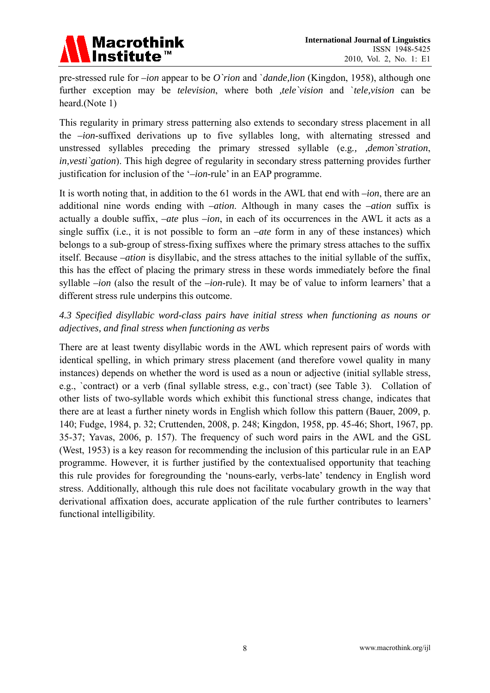

pre-stressed rule for *–ion* appear to be *O`rion* and `*dande,lion* (Kingdon, 1958), although one further exception may be *television*, where both *,tele`vision* and `*tele,vision* can be heard.(Note 1)

This regularity in primary stress patterning also extends to secondary stress placement in all the *–ion*-suffixed derivations up to five syllables long, with alternating stressed and unstressed syllables preceding the primary stressed syllable (e.g*., ,demon`stration*, *in,vesti`gation*). This high degree of regularity in secondary stress patterning provides further justification for inclusion of the '*–ion*-rule' in an EAP programme.

It is worth noting that, in addition to the 61 words in the AWL that end with *–ion*, there are an additional nine words ending with *–ation*. Although in many cases the *–ation* suffix is actually a double suffix, *–ate* plus *–ion*, in each of its occurrences in the AWL it acts as a single suffix (i.e., it is not possible to form an *–ate* form in any of these instances) which belongs to a sub-group of stress-fixing suffixes where the primary stress attaches to the suffix itself. Because *–ation* is disyllabic, and the stress attaches to the initial syllable of the suffix, this has the effect of placing the primary stress in these words immediately before the final syllable *–ion* (also the result of the *–ion*-rule). It may be of value to inform learners' that a different stress rule underpins this outcome.

# *4.3 Specified disyllabic word-class pairs have initial stress when functioning as nouns or adjectives, and final stress when functioning as verbs*

There are at least twenty disyllabic words in the AWL which represent pairs of words with identical spelling, in which primary stress placement (and therefore vowel quality in many instances) depends on whether the word is used as a noun or adjective (initial syllable stress, e.g., `contract) or a verb (final syllable stress, e.g., con`tract) (see Table 3). Collation of other lists of two-syllable words which exhibit this functional stress change, indicates that there are at least a further ninety words in English which follow this pattern (Bauer, 2009, p. 140; Fudge, 1984, p. 32; Cruttenden, 2008, p. 248; Kingdon, 1958, pp. 45-46; Short, 1967, pp. 35-37; Yavas, 2006, p. 157). The frequency of such word pairs in the AWL and the GSL (West, 1953) is a key reason for recommending the inclusion of this particular rule in an EAP programme. However, it is further justified by the contextualised opportunity that teaching this rule provides for foregrounding the 'nouns-early, verbs-late' tendency in English word stress. Additionally, although this rule does not facilitate vocabulary growth in the way that derivational affixation does, accurate application of the rule further contributes to learners' functional intelligibility.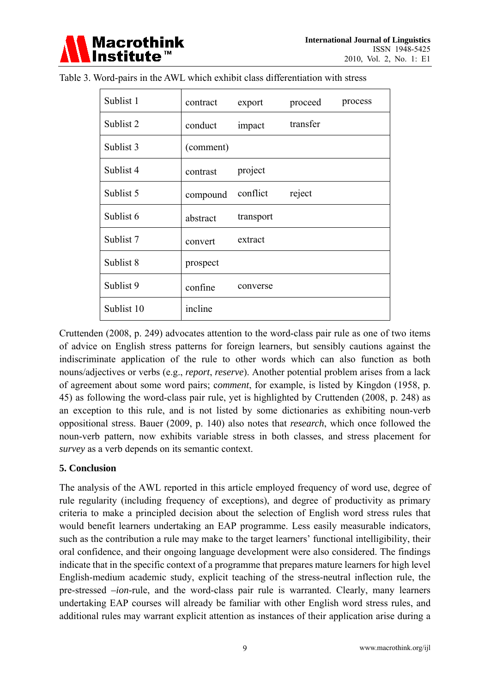

| Sublist 1  | contract  | export    | proceed  | process |
|------------|-----------|-----------|----------|---------|
| Sublist 2  | conduct   | impact    | transfer |         |
| Sublist 3  | (comment) |           |          |         |
| Sublist 4  | contrast  | project   |          |         |
| Sublist 5  | compound  | conflict  | reject   |         |
| Sublist 6  | abstract  | transport |          |         |
| Sublist 7  | convert   | extract   |          |         |
| Sublist 8  | prospect  |           |          |         |
| Sublist 9  | confine   | converse  |          |         |
| Sublist 10 | incline   |           |          |         |

Table 3. Word-pairs in the AWL which exhibit class differentiation with stress

Cruttenden (2008, p. 249) advocates attention to the word-class pair rule as one of two items of advice on English stress patterns for foreign learners, but sensibly cautions against the indiscriminate application of the rule to other words which can also function as both nouns/adjectives or verbs (e.g., *report*, *reserve*). Another potential problem arises from a lack of agreement about some word pairs; c*omment*, for example, is listed by Kingdon (1958, p. 45) as following the word-class pair rule, yet is highlighted by Cruttenden (2008, p. 248) as an exception to this rule, and is not listed by some dictionaries as exhibiting noun-verb oppositional stress. Bauer (2009, p. 140) also notes that *research*, which once followed the noun-verb pattern, now exhibits variable stress in both classes, and stress placement for *survey* as a verb depends on its semantic context.

## **5. Conclusion**

The analysis of the AWL reported in this article employed frequency of word use, degree of rule regularity (including frequency of exceptions), and degree of productivity as primary criteria to make a principled decision about the selection of English word stress rules that would benefit learners undertaking an EAP programme. Less easily measurable indicators, such as the contribution a rule may make to the target learners' functional intelligibility, their oral confidence, and their ongoing language development were also considered. The findings indicate that in the specific context of a programme that prepares mature learners for high level English-medium academic study, explicit teaching of the stress-neutral inflection rule, the pre-stressed *–ion*-rule, and the word-class pair rule is warranted. Clearly, many learners undertaking EAP courses will already be familiar with other English word stress rules, and additional rules may warrant explicit attention as instances of their application arise during a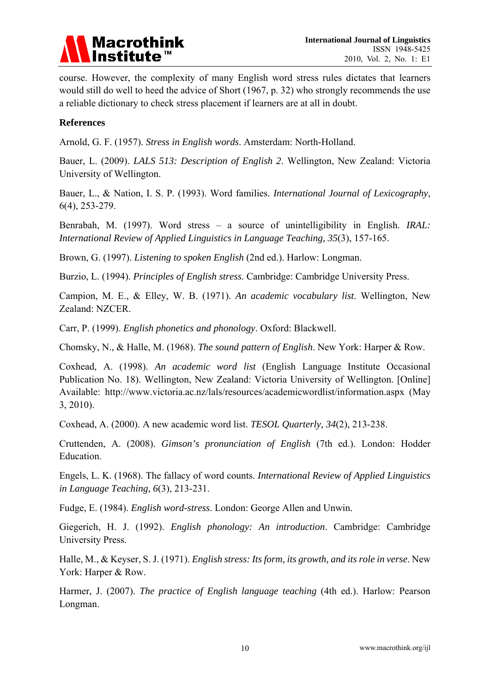

course. However, the complexity of many English word stress rules dictates that learners would still do well to heed the advice of Short (1967, p. 32) who strongly recommends the use a reliable dictionary to check stress placement if learners are at all in doubt.

## **References**

Arnold, G. F. (1957). *Stress in English words*. Amsterdam: North-Holland.

Bauer, L. (2009). *LALS 513: Description of English 2*. Wellington, New Zealand: Victoria University of Wellington.

Bauer, L., & Nation, I. S. P. (1993). Word families. *International Journal of Lexicography*, 6(4), 253-279.

Benrabah, M. (1997). Word stress – a source of unintelligibility in English. *IRAL: International Review of Applied Linguistics in Language Teaching, 35*(3), 157-165.

Brown, G. (1997). *Listening to spoken English* (2nd ed.). Harlow: Longman.

Burzio, L. (1994). *Principles of English stress*. Cambridge: Cambridge University Press.

Campion, M. E., & Elley, W. B. (1971). *An academic vocabulary list*. Wellington, New Zealand: NZCER.

Carr, P. (1999). *English phonetics and phonology*. Oxford: Blackwell.

Chomsky, N., & Halle, M. (1968). *The sound pattern of English*. New York: Harper & Row.

Coxhead, A. (1998). *An academic word list* (English Language Institute Occasional Publication No. 18). Wellington, New Zealand: Victoria University of Wellington. [Online] Available: http://www.victoria.ac.nz/lals/resources/academicwordlist/information.aspx (May 3, 2010).

Coxhead, A. (2000). A new academic word list. *TESOL Quarterly, 34*(2), 213-238.

Cruttenden, A. (2008). *Gimson's pronunciation of English* (7th ed.). London: Hodder Education.

Engels, L. K. (1968). The fallacy of word counts. *International Review of Applied Linguistics in Language Teaching, 6*(3), 213-231.

Fudge, E. (1984). *English word-stress*. London: George Allen and Unwin.

Giegerich, H. J. (1992). *English phonology: An introduction*. Cambridge: Cambridge University Press.

Halle, M., & Keyser, S. J. (1971). *English stress: Its form, its growth, and its role in verse*. New York: Harper & Row.

Harmer, J. (2007). *The practice of English language teaching* (4th ed.). Harlow: Pearson Longman.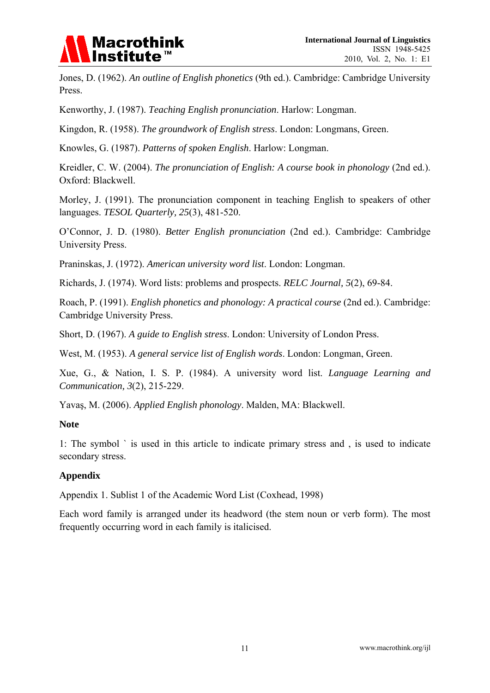

Jones, D. (1962). *An outline of English phonetics* (9th ed.). Cambridge: Cambridge University Press.

Kenworthy, J. (1987). *Teaching English pronunciation*. Harlow: Longman.

Kingdon, R. (1958). *The groundwork of English stress*. London: Longmans, Green.

Knowles, G. (1987). *Patterns of spoken English*. Harlow: Longman.

Kreidler, C. W. (2004). *The pronunciation of English: A course book in phonology* (2nd ed.). Oxford: Blackwell.

Morley, J. (1991). The pronunciation component in teaching English to speakers of other languages. *TESOL Quarterly, 25*(3), 481-520.

O'Connor, J. D. (1980). *Better English pronunciation* (2nd ed.). Cambridge: Cambridge University Press.

Praninskas, J. (1972). *American university word list*. London: Longman.

Richards, J. (1974). Word lists: problems and prospects. *RELC Journal, 5*(2), 69-84.

Roach, P. (1991). *English phonetics and phonology: A practical course* (2nd ed.). Cambridge: Cambridge University Press.

Short, D. (1967). *A guide to English stress*. London: University of London Press.

West, M. (1953). *A general service list of English words*. London: Longman, Green.

Xue, G., & Nation, I. S. P. (1984). A university word list. *Language Learning and Communication, 3*(2), 215-229.

Yavaş, M. (2006). *Applied English phonology*. Malden, MA: Blackwell.

#### **Note**

1: The symbol ` is used in this article to indicate primary stress and , is used to indicate secondary stress.

## **Appendix**

Appendix 1. Sublist 1 of the Academic Word List (Coxhead, 1998)

Each word family is arranged under its headword (the stem noun or verb form). The most frequently occurring word in each family is italicised.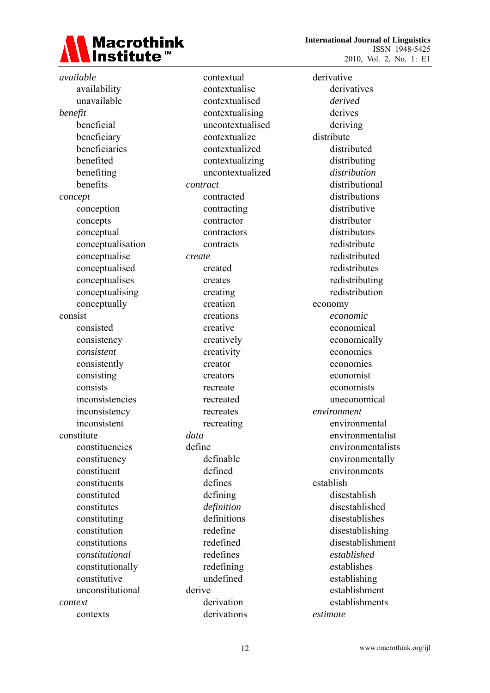

 **International Journal of Linguistics**  ISSN 1948-5425 2010, Vol. 2, No. 1: E1

*available* availability unavailable *benefit*  beneficial beneficiary beneficiaries benefited benefiting benefits *concept*  conception concepts conceptual conceptualisation conceptualise conceptualised conceptualises conceptualising conceptually consist consisted consistency  *consistent* consistently consisting consists inconsistencies inconsistency inconsistent constitute constituencies constituency constituent constituents constituted constitutes constituting constitution constitutions  *constitutional* constitutionally constitutive unconstitutional *context* contexts

 contextual contextualise contextualised contextualising uncontextualised contextualize contextualized contextualizing uncontextualized *contract* contracted contracting contractor contractors contracts *create* created creates creating creation creations creative creatively creativity creator creators recreate recreated recreates recreating *data* define definable defined defines defining *definition* definitions redefine redefined redefines redefining undefined derive derivation derivations

derivative derivatives *derived* derives deriving distribute distributed distributing  *distribution*  distributional distributions distributive distributor distributors redistribute redistributed redistributes redistributing redistribution economy *economic* economical economically economics economies economist economists uneconomical *environment*  environmental environmentalist environmentalists environmentally environments establish disestablish disestablished disestablishes disestablishing disestablishment  *established* establishes establishing establishment establishments *estimate*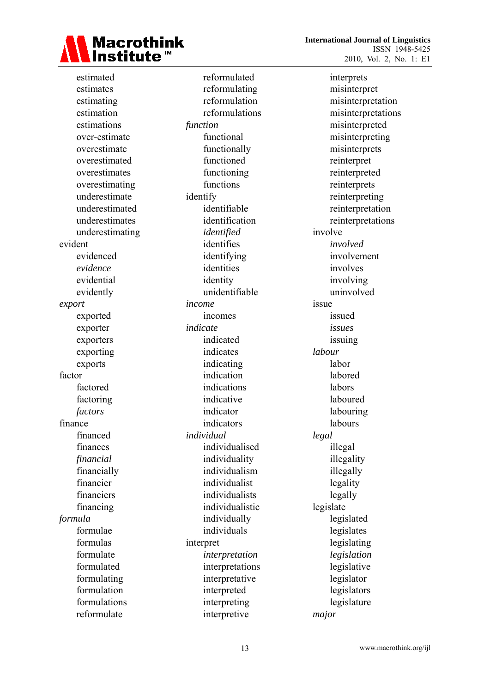

 **International Journal of Linguistics**  ISSN 1948-5425 2010, Vol. 2, No. 1: E1

 estimated estimates estimating estimation estimations over-estimate overestimate overestimated overestimates overestimating underestimate underestimated underestimates underestimating evident evidenced *evidence* evidential evidently *export* exported exporter exporters exporting exports factor factored factoring *factors* finance financed finances *financial* financially financier financiers financing *formula* formulae formulas formulate formulated formulating formulation formulations reformulate

 reformulated reformulating reformulation reformulations *function* functional functionally functioned functioning functions identify identifiable identification *identified* identifies identifying identities identity unidentifiable *income* incomes *indicate*  indicated indicates indicating indication indications indicative indicator indicators *individual*  individualised individuality individualism individualist individualists individualistic individually individuals interpret *interpretation* interpretations interpretative interpreted interpreting interpretive

 interprets misinterpret misinterpretation misinterpretations misinterpreted misinterpreting misinterprets reinterpret reinterpreted reinterprets reinterpreting reinterpretation reinterpretations involve *involved* involvement involves involving uninvolved issue issued *issues* issuing *labour* labor labored labors laboured labouring labours *legal* illegal illegality illegally legality legally legislate legislated legislates legislating *legislation* legislative legislator legislators legislature *major*